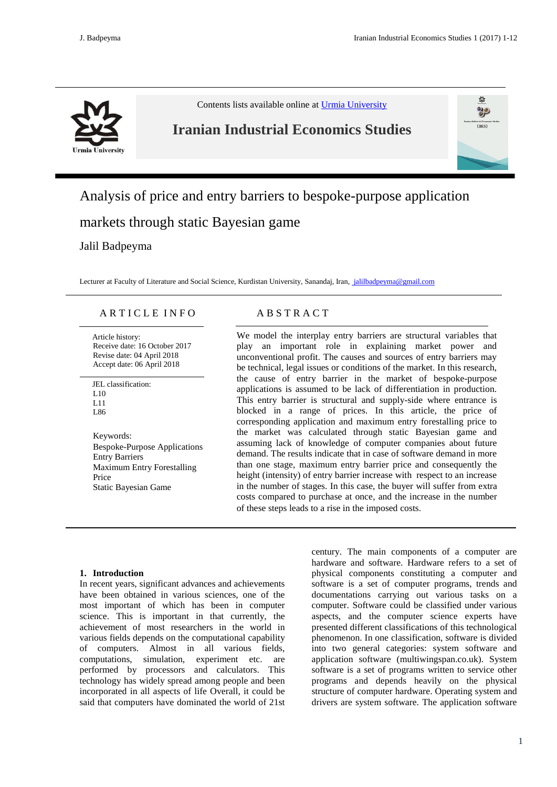嵒

 $(IES)$ 



Contents lists available online at [Urmia University](http://iies.urmia.ac.ir/)

## **Iranian Industrial Economics Studies Iranian Industrial Economics Studies**

# Analysis of price and entry barriers to bespoke-purpose application markets through static Bayesian game

## Jalil Badpeyma

Lecturer at Faculty of Literature and Social Science, Kurdistan University, Sanandaj, Iran, jalilbadpeyma@gmail.com

## ARTICLE INFO

 Article history: Receive date: 16 October 2017 Revise date: 04 April 2018 Accept date: 06 April 2018

 JEL classification: L10 L11 L86

Keywords: Bespoke-Purpose Applications Entry Barriers Maximum Entry Forestalling Price Static Bayesian Game

## A B S T R A C T

We model the interplay entry barriers are structural variables that play an important role in explaining market power and unconventional profit. The causes and sources of entry barriers may be technical, legal issues or conditions of the market. In this research, the cause of entry barrier in the market of bespoke-purpose applications is assumed to be lack of differentiation in production. This entry barrier is structural and supply-side where entrance is blocked in a range of prices. In this article, the price of corresponding application and maximum entry forestalling price to the market was calculated through static Bayesian game and assuming lack of knowledge of computer companies about future demand. The results indicate that in case of software demand in more than one stage, maximum entry barrier price and consequently the height (intensity) of entry barrier increase with respect to an increase in the number of stages. In this case, the buyer will suffer from extra costs compared to purchase at once, and the increase in the number of these steps leads to a rise in the imposed costs.

#### **1. Introduction**

In recent years, significant advances and achievements have been obtained in various sciences, one of the most important of which has been in computer science. This is important in that currently, the achievement of most researchers in the world in various fields depends on the computational capability of computers. Almost in all various fields, computations, simulation, experiment etc. are performed by processors and calculators. This technology has widely spread among people and been incorporated in all aspects of life Overall, it could be said that computers have dominated the world of 21st

century. The main components of a computer are hardware and software. Hardware refers to a set of physical components constituting a computer and software is a set of computer programs, trends and documentations carrying out various tasks on a computer. Software could be classified under various aspects, and the computer science experts have presented different classifications of this technological phenomenon. In one classification, software is divided into two general categories: system software and application software (multiwingspan.co.uk). System software is a set of programs written to service other programs and depends heavily on the physical structure of computer hardware. Operating system and drivers are system software. The application software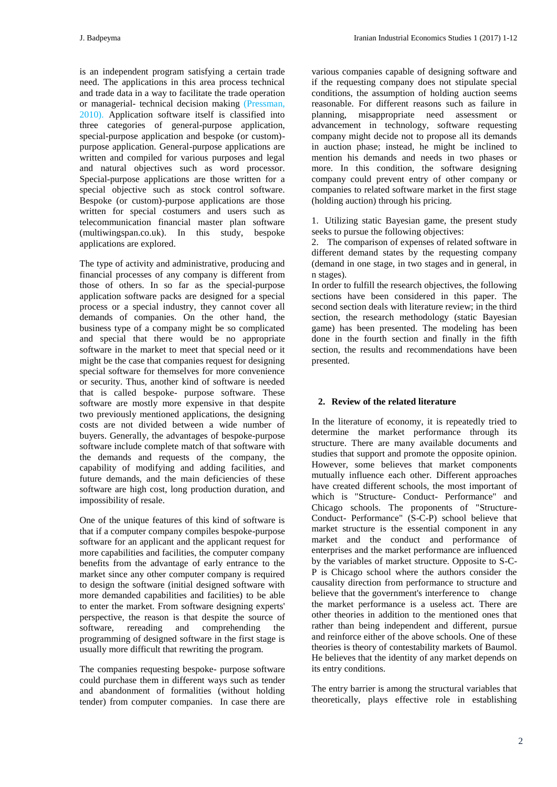is an independent program satisfying a certain trade need. The applications in this area process technical and trade data in a way to facilitate the trade operation or managerial- technical decision making (Pressman, 2010). Application software itself is classified into three categories of general-purpose application, special-purpose application and bespoke (or custom) purpose application. General-purpose applications are written and compiled for various purposes and legal and natural objectives such as word processor. Special-purpose applications are those written for a special objective such as stock control software. Bespoke (or custom)-purpose applications are those written for special costumers and users such as telecommunication financial master plan software (multiwingspan.co.uk). In this study, bespoke applications are explored.

The type of activity and administrative, producing and financial processes of any company is different from those of others. In so far as the special-purpose application software packs are designed for a special process or a special industry, they cannot cover all demands of companies. On the other hand, the business type of a company might be so complicated and special that there would be no appropriate software in the market to meet that special need or it might be the case that companies request for designing special software for themselves for more convenience or security. Thus, another kind of software is needed that is called bespoke- purpose software. These software are mostly more expensive in that despite two previously mentioned applications, the designing costs are not divided between a wide number of buyers. Generally, the advantages of bespoke-purpose software include complete match of that software with the demands and requests of the company, the capability of modifying and adding facilities, and future demands, and the main deficiencies of these software are high cost, long production duration, and impossibility of resale.

One of the unique features of this kind of software is that if a computer company compiles bespoke-purpose software for an applicant and the applicant request for more capabilities and facilities, the computer company benefits from the advantage of early entrance to the market since any other computer company is required to design the software (initial designed software with more demanded capabilities and facilities) to be able to enter the market. From software designing experts' perspective, the reason is that despite the source of software, rereading and comprehending the programming of designed software in the first stage is usually more difficult that rewriting the program.

The companies requesting bespoke- purpose software could purchase them in different ways such as tender and abandonment of formalities (without holding tender) from computer companies. In case there are various companies capable of designing software and if the requesting company does not stipulate special conditions, the assumption of holding auction seems reasonable. For different reasons such as failure in planning, misappropriate need assessment or advancement in technology, software requesting company might decide not to propose all its demands in auction phase; instead, he might be inclined to mention his demands and needs in two phases or more. In this condition, the software designing company could prevent entry of other company or companies to related software market in the first stage (holding auction) through his pricing.

1. Utilizing static Bayesian game, the present study seeks to pursue the following objectives:

2. The comparison of expenses of related software in different demand states by the requesting company (demand in one stage, in two stages and in general, in n stages).

In order to fulfill the research objectives, the following sections have been considered in this paper. The second section deals with literature review; in the third section, the research methodology (static Bayesian game) has been presented. The modeling has been done in the fourth section and finally in the fifth section, the results and recommendations have been presented.

#### **2. Review of the related literature**

In the literature of economy, it is repeatedly tried to determine the market performance through its structure. There are many available documents and studies that support and promote the opposite opinion. However, some believes that market components mutually influence each other. Different approaches have created different schools, the most important of which is "Structure- Conduct- Performance" and Chicago schools. The proponents of "Structure-Conduct- Performance" (S-C-P) school believe that market structure is the essential component in any market and the conduct and performance of enterprises and the market performance are influenced by the variables of market structure. Opposite to S-C-P is Chicago school where the authors consider the causality direction from performance to structure and believe that the government's interference to change the market performance is a useless act. There are other theories in addition to the mentioned ones that rather than being independent and different, pursue and reinforce either of the above schools. One of these theories is theory of contestability markets of Baumol. He believes that the identity of any market depends on its entry conditions.

The entry barrier is among the structural variables that theoretically, plays effective role in establishing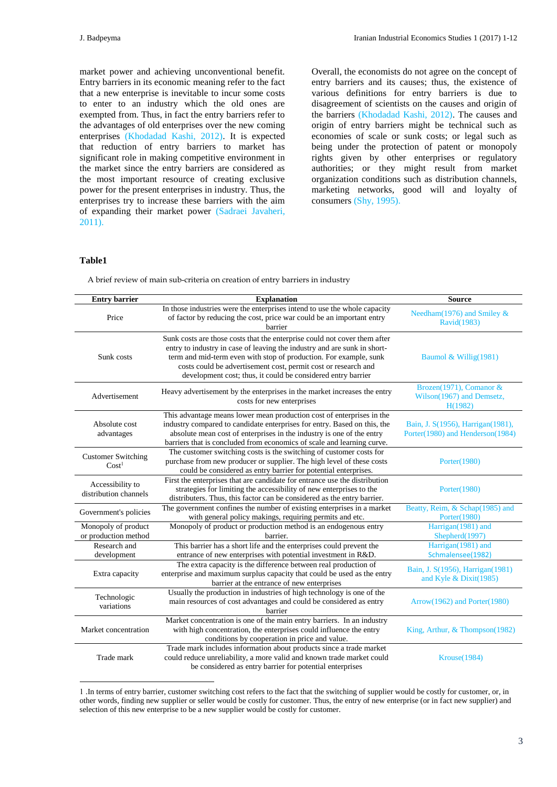market power and achieving unconventional benefit. Entry barriers in its economic meaning refer to the fact that a new enterprise is inevitable to incur some costs to enter to an industry which the old ones are exempted from. Thus, in fact the entry barriers refer to the advantages of old enterprises over the new coming enterprises (Khodadad Kashi, 2012). It is expected that reduction of entry barriers to market has significant role in making competitive environment in the market since the entry barriers are considered as the most important resource of creating exclusive power for the present enterprises in industry. Thus, the enterprises try to increase these barriers with the aim of expanding their market power (Sadraei Javaheri, 2011).

Overall, the economists do not agree on the concept of entry barriers and its causes; thus, the existence of various definitions for entry barriers is due to disagreement of scientists on the causes and origin of the barriers (Khodadad Kashi, 2012). The causes and origin of entry barriers might be technical such as economies of scale or sunk costs; or legal such as being under the protection of patent or monopoly rights given by other enterprises or regulatory authorities; or they might result from market organization conditions such as distribution channels, marketing networks, good will and loyalty of consumers (Shy, 1995).

## **Table1**

A brief review of main sub-criteria on creation of entry barriers in industry

| <b>Entry barrier</b>                           | <b>Explanation</b>                                                                                                                                                                                                                                                                                                                                           | <b>Source</b>                                                         |
|------------------------------------------------|--------------------------------------------------------------------------------------------------------------------------------------------------------------------------------------------------------------------------------------------------------------------------------------------------------------------------------------------------------------|-----------------------------------------------------------------------|
| Price                                          | In those industries were the enterprises intend to use the whole capacity<br>of factor by reducing the cost, price war could be an important entry<br>barrier                                                                                                                                                                                                | Needham $(1976)$ and Smiley &<br>Ravid(1983)                          |
| Sunk costs                                     | Sunk costs are those costs that the enterprise could not cover them after<br>entry to industry in case of leaving the industry and are sunk in short-<br>term and mid-term even with stop of production. For example, sunk<br>costs could be advertisement cost, permit cost or research and<br>development cost; thus, it could be considered entry barrier | Baumol & Willig(1981)                                                 |
| Advertisement                                  | Heavy advertisement by the enterprises in the market increases the entry<br>costs for new enterprises                                                                                                                                                                                                                                                        | Brozen(1971), Comanor &<br>Wilson(1967) and Demsetz,<br>H(1982)       |
| Absolute cost<br>advantages                    | This advantage means lower mean production cost of enterprises in the<br>industry compared to candidate enterprises for entry. Based on this, the<br>absolute mean cost of enterprises in the industry is one of the entry<br>barriers that is concluded from economics of scale and learning curve.                                                         | Bain, J. S(1956), Harrigan(1981),<br>Porter(1980) and Henderson(1984) |
| <b>Customer Switching</b><br>Cost <sup>1</sup> | The customer switching costs is the switching of customer costs for<br>purchase from new producer or supplier. The high level of these costs<br>could be considered as entry barrier for potential enterprises.                                                                                                                                              | Porter(1980)                                                          |
| Accessibility to<br>distribution channels      | First the enterprises that are candidate for entrance use the distribution<br>strategies for limiting the accessibility of new enterprises to the<br>distributers. Thus, this factor can be considered as the entry barrier.                                                                                                                                 | Porter(1980)                                                          |
| Government's policies                          | The government confines the number of existing enterprises in a market<br>with general policy makings, requiring permits and etc.                                                                                                                                                                                                                            | Beatty, Reim, & Schap(1985) and<br>Porter(1980)                       |
| Monopoly of product<br>or production method    | Monopoly of product or production method is an endogenous entry<br>barrier.                                                                                                                                                                                                                                                                                  | Harrigan(1981) and<br>Shepherd(1997)                                  |
| Research and<br>development                    | This barrier has a short life and the enterprises could prevent the<br>entrance of new enterprises with potential investment in R&D.                                                                                                                                                                                                                         | Harrigan(1981) and<br>Schmalensee(1982)                               |
| Extra capacity                                 | The extra capacity is the difference between real production of<br>enterprise and maximum surplus capacity that could be used as the entry<br>barrier at the entrance of new enterprises                                                                                                                                                                     | Bain, J. S(1956), Harrigan(1981)<br>and Kyle & Dixit(1985)            |
| Technologic<br>variations                      | Usually the production in industries of high technology is one of the<br>main resources of cost advantages and could be considered as entry<br>barrier                                                                                                                                                                                                       | Arrow(1962) and Porter(1980)                                          |
| Market concentration                           | Market concentration is one of the main entry barriers. In an industry<br>with high concentration, the enterprises could influence the entry<br>conditions by cooperation in price and value.                                                                                                                                                                | King, Arthur, & Thompson(1982)                                        |
| Trade mark                                     | Trade mark includes information about products since a trade market<br>could reduce unreliability, a more valid and known trade market could<br>be considered as entry barrier for potential enterprises                                                                                                                                                     | <b>Krouse</b> (1984)                                                  |
|                                                |                                                                                                                                                                                                                                                                                                                                                              |                                                                       |

1 .In terms of entry barrier, customer switching cost refers to the fact that the switching of supplier would be costly for customer, or, in other words, finding new supplier or seller would be costly for customer. Thus, the entry of new enterprise (or in fact new supplier) and selection of this new enterprise to be a new supplier would be costly for customer.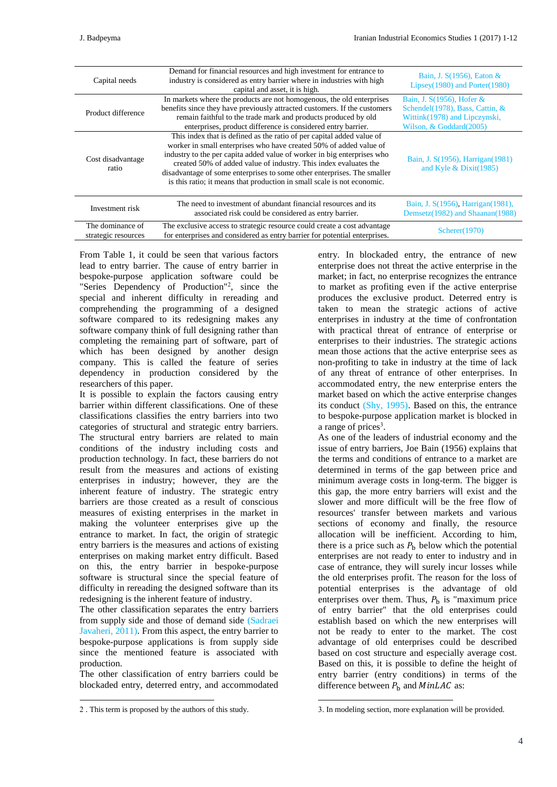| Capital needs                           | Demand for financial resources and high investment for entrance to<br>industry is considered as entry barrier where in industries with high<br>capital and asset, it is high.                                                                                                                                                                                                                                                                    | Bain, J. S(1956), Eaton &<br>Lipsey $(1980)$ and Porter $(1980)$                                                         |
|-----------------------------------------|--------------------------------------------------------------------------------------------------------------------------------------------------------------------------------------------------------------------------------------------------------------------------------------------------------------------------------------------------------------------------------------------------------------------------------------------------|--------------------------------------------------------------------------------------------------------------------------|
| Product difference                      | In markets where the products are not homogenous, the old enterprises<br>benefits since they have previously attracted customers. If the customers<br>remain faithful to the trade mark and products produced by old<br>enterprises, product difference is considered entry barrier.                                                                                                                                                             | Bain, J. S(1956), Hofer &<br>Schendel(1978), Bass, Cattin, &<br>Wittink(1978) and Lipczynski,<br>Wilson, & Goddard(2005) |
| Cost disadvantage<br>ratio              | This index that is defined as the ratio of per capital added value of<br>worker in small enterprises who have created 50% of added value of<br>industry to the per capita added value of worker in big enterprises who<br>created 50% of added value of industry. This index evaluates the<br>disadvantage of some enterprises to some other enterprises. The smaller<br>is this ratio; it means that production in small scale is not economic. | Bain, J. S(1956), Harrigan(1981)<br>and Kyle $&$ Dixit(1985)                                                             |
| Investment risk                         | The need to investment of abundant financial resources and its<br>associated risk could be considered as entry barrier.                                                                                                                                                                                                                                                                                                                          | Bain, J. S(1956), Harrigan(1981),<br>Demsetz(1982) and Shaanan(1988)                                                     |
| The dominance of<br>strategic resources | The exclusive access to strategic resource could create a cost advantage<br>for enterprises and considered as entry barrier for potential enterprises.                                                                                                                                                                                                                                                                                           | Scherer(1970)                                                                                                            |

From Table 1, it could be seen that various factors lead to entry barrier. The cause of entry barrier in bespoke-purpose application software could be "Series Dependency of Production"<sup>2</sup>, since the special and inherent difficulty in rereading and comprehending the programming of a designed software compared to its redesigning makes any software company think of full designing rather than completing the remaining part of software, part of which has been designed by another design company. This is called the feature of series dependency in production considered by the researchers of this paper.

It is possible to explain the factors causing entry barrier within different classifications. One of these classifications classifies the entry barriers into two categories of structural and strategic entry barriers. The structural entry barriers are related to main conditions of the industry including costs and production technology. In fact, these barriers do not result from the measures and actions of existing enterprises in industry; however, they are the inherent feature of industry. The strategic entry barriers are those created as a result of conscious measures of existing enterprises in the market in making the volunteer enterprises give up the entrance to market. In fact, the origin of strategic entry barriers is the measures and actions of existing enterprises on making market entry difficult. Based on this, the entry barrier in bespoke-purpose software is structural since the special feature of difficulty in rereading the designed software than its redesigning is the inherent feature of industry.

The other classification separates the entry barriers from supply side and those of demand side (Sadraei Javaheri, 2011). From this aspect, the entry barrier to bespoke-purpose applications is from supply side since the mentioned feature is associated with production.

The other classification of entry barriers could be blockaded entry, deterred entry, and accommodated

1

entry. In blockaded entry, the entrance of new enterprise does not threat the active enterprise in the market; in fact, no enterprise recognizes the entrance to market as profiting even if the active enterprise produces the exclusive product. Deterred entry is taken to mean the strategic actions of active enterprises in industry at the time of confrontation with practical threat of entrance of enterprise or enterprises to their industries. The strategic actions mean those actions that the active enterprise sees as non-profiting to take in industry at the time of lack of any threat of entrance of other enterprises. In accommodated entry, the new enterprise enters the market based on which the active enterprise changes its conduct (Shy, 1995). Based on this, the entrance to bespoke-purpose application market is blocked in a range of prices<sup>3</sup>.

As one of the leaders of industrial economy and the issue of entry barriers, Joe Bain (1956) explains that the terms and conditions of entrance to a market are determined in terms of the gap between price and minimum average costs in long-term. The bigger is this gap, the more entry barriers will exist and the slower and more difficult will be the free flow of resources' transfer between markets and various sections of economy and finally, the resource allocation will be inefficient. According to him, there is a price such as  $P<sub>b</sub>$  below which the potential enterprises are not ready to enter to industry and in case of entrance, they will surely incur losses while the old enterprises profit. The reason for the loss of potential enterprises is the advantage of old enterprises over them. Thus,  $P<sub>b</sub>$  is "maximum price" of entry barrier" that the old enterprises could establish based on which the new enterprises will not be ready to enter to the market. The cost advantage of old enterprises could be described based on cost structure and especially average cost. Based on this, it is possible to define the height of entry barrier (entry conditions) in terms of the difference between  $P_h$  and  $MinLAC$  as:

1

<sup>2</sup> . This term is proposed by the authors of this study.

<sup>3.</sup> In modeling section, more explanation will be provided.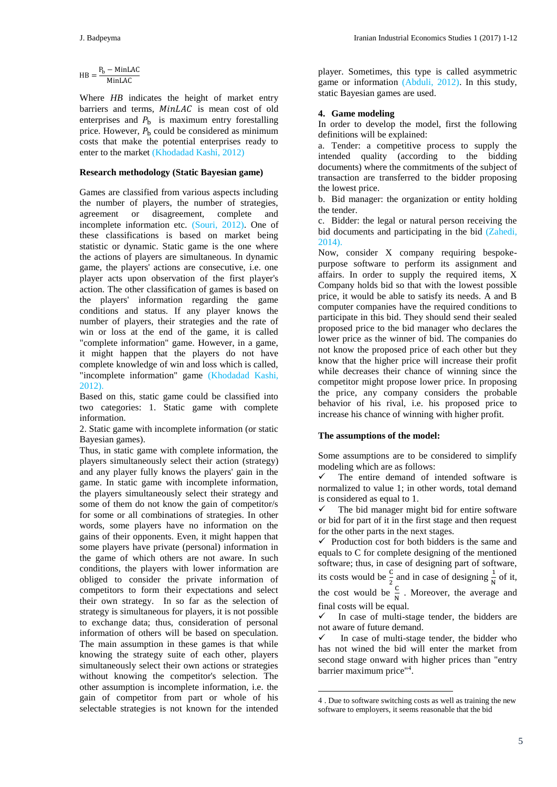$HB = \frac{P_b - MinLAC}{M \cdot M \cdot LAC}$ MinLAC

Where *HB* indicates the height of market entry barriers and terms, MinLAC is mean cost of old enterprises and  $P<sub>b</sub>$  is maximum entry forestalling price. However,  $P<sub>b</sub>$  could be considered as minimum costs that make the potential enterprises ready to enter to the market (Khodadad Kashi, 2012)

#### **Research methodology (Static Bayesian game)**

Games are classified from various aspects including the number of players, the number of strategies, agreement or disagreement, complete and incomplete information etc. (Souri, 2012). One of these classifications is based on market being statistic or dynamic. Static game is the one where the actions of players are simultaneous. In dynamic game, the players' actions are consecutive, i.e. one player acts upon observation of the first player's action. The other classification of games is based on the players' information regarding the game conditions and status. If any player knows the number of players, their strategies and the rate of win or loss at the end of the game, it is called "complete information" game. However, in a game, it might happen that the players do not have complete knowledge of win and loss which is called, "incomplete information" game (Khodadad Kashi, 2012).

Based on this, static game could be classified into two categories: 1. Static game with complete information.

2. Static game with incomplete information (or static Bayesian games).

Thus, in static game with complete information, the players simultaneously select their action (strategy) and any player fully knows the players' gain in the game. In static game with incomplete information, the players simultaneously select their strategy and some of them do not know the gain of competitor/s for some or all combinations of strategies. In other words, some players have no information on the gains of their opponents. Even, it might happen that some players have private (personal) information in the game of which others are not aware. In such conditions, the players with lower information are obliged to consider the private information of competitors to form their expectations and select their own strategy. In so far as the selection of strategy is simultaneous for players, it is not possible to exchange data; thus, consideration of personal information of others will be based on speculation. The main assumption in these games is that while knowing the strategy suite of each other, players simultaneously select their own actions or strategies without knowing the competitor's selection. The other assumption is incomplete information, i.e. the gain of competitor from part or whole of his selectable strategies is not known for the intended

player. Sometimes, this type is called asymmetric game or information (Abduli, 2012). In this study, static Bayesian games are used.

## **4. Game modeling**

In order to develop the model, first the following definitions will be explained:

a. Tender: a competitive process to supply the intended quality (according to the bidding documents) where the commitments of the subject of transaction are transferred to the bidder proposing the lowest price.

b. Bid manager: the organization or entity holding the tender.

c. Bidder: the legal or natural person receiving the bid documents and participating in the bid (Zahedi, 2014).

Now, consider X company requiring bespokepurpose software to perform its assignment and affairs. In order to supply the required items, X Company holds bid so that with the lowest possible price, it would be able to satisfy its needs. A and B computer companies have the required conditions to participate in this bid. They should send their sealed proposed price to the bid manager who declares the lower price as the winner of bid. The companies do not know the proposed price of each other but they know that the higher price will increase their profit while decreases their chance of winning since the competitor might propose lower price. In proposing the price, any company considers the probable behavior of his rival, i.e. his proposed price to increase his chance of winning with higher profit.

## **The assumptions of the model:**

Some assumptions are to be considered to simplify modeling which are as follows:

 $\checkmark$  The entire demand of intended software is normalized to value 1; in other words, total demand is considered as equal to 1.

 $\checkmark$  The bid manager might bid for entire software or bid for part of it in the first stage and then request for the other parts in the next stages.

 $\checkmark$  Production cost for both bidders is the same and equals to C for complete designing of the mentioned software; thus, in case of designing part of software, its costs would be  $\frac{c}{2}$  and in case of designing  $\frac{1}{N}$  of it, the cost would be  $\frac{C}{N}$ . Moreover, the average and final costs will be equal.

 $\checkmark$  In case of multi-stage tender, the bidders are not aware of future demand.

 $\checkmark$  In case of multi-stage tender, the bidder who has not wined the bid will enter the market from second stage onward with higher prices than "entry barrier maximum price"<sup>4</sup> .

1

<sup>4</sup> . Due to software switching costs as well as training the new software to employers, it seems reasonable that the bid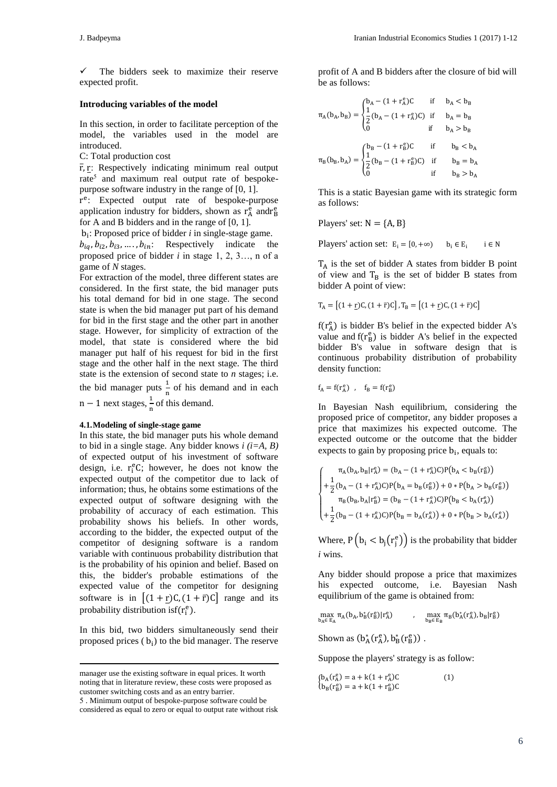The bidders seek to maximize their reserve expected profit.

#### **Introducing variables of the model**

In this section, in order to facilitate perception of the model, the variables used in the model are introduced.

C: Total production cost

 $\overline{r}$ , r: Respectively indicating minimum real output rate<sup>5</sup> and maximum real output rate of bespokepurpose software industry in the range of [0, 1].

r e : Expected output rate of bespoke-purpose application industry for bidders, shown as  $r_A^e$  and  $r_B^e$ for A and B bidders and in the range of [0, 1].

bi : Proposed price of bidder *i* in single-stage game.

 $b_{iq}, b_{i2}, b_{i3}, \dots, b_{in}$ : Respectively indicate the proposed price of bidder *i* in stage 1, 2, 3…, n of a game of *N* stages.

For extraction of the model, three different states are considered. In the first state, the bid manager puts his total demand for bid in one stage. The second state is when the bid manager put part of his demand for bid in the first stage and the other part in another stage. However, for simplicity of extraction of the model, that state is considered where the bid manager put half of his request for bid in the first stage and the other half in the next stage. The third state is the extension of second state to *n* stages; i.e. the bid manager puts  $\frac{1}{n}$  of his demand and in each

 $n-1$  next stages,  $\frac{1}{n}$  $\frac{1}{n}$  of this demand.

#### **4.1.Modeling of single-stage game**

In this state, the bid manager puts his whole demand to bid in a single stage. Any bidder knows *i (i=A, B)*  of expected output of his investment of software design, i.e.  $r_i^eC$ ; however, he does not know the expected output of the competitor due to lack of information; thus, he obtains some estimations of the expected output of software designing with the probability of accuracy of each estimation. This probability shows his beliefs. In other words, according to the bidder, the expected output of the competitor of designing software is a random variable with continuous probability distribution that is the probability of his opinion and belief. Based on this, the bidder's probable estimations of the expected value of the competitor for designing software is in  $[(1+r)C, (1+\bar{r})C]$  range and its probability distribution is  $f(r_i^e)$ .

In this bid, two bidders simultaneously send their proposed prices  $(b_i)$  to the bid manager. The reserve

**.** 

5 . Minimum output of bespoke-purpose software could be considered as equal to zero or equal to output rate without risk profit of A and B bidders after the closure of bid will be as follows:

$$
\pi_A(b_A, b_B) = \begin{cases} b_A - (1 + r_A^e)C & \text{if} \quad b_A < b_B \\ \frac{1}{2}(b_A - (1 + r_A^e)C) & \text{if} \quad b_A = b_B \\ 0 & \text{if} \quad b_A > b_B \end{cases}
$$

$$
\pi_B(b_B, b_A) = \begin{cases} b_B - (1 + r_B^e)C & \text{if} \quad b_B < b_A \\ \frac{1}{2}(b_B - (1 + r_B^e)C) & \text{if} \quad b_B = b_A \\ 0 & \text{if} \quad b_B > b_A \end{cases}
$$

This is a static Bayesian game with its strategic form as follows:

Players' set:  $N = \{A, B\}$ 

Players' action set:  $E_i = [0, +\infty)$  b<sub>i</sub>  $\in E_i$ i ∈ N

 $T_A$  is the set of bidder A states from bidder B point of view and  $T_B$  is the set of bidder B states from bidder A point of view:

$$
T_A = \left[ (1 + \underline{r})C, (1 + \overline{r})C \right], T_B = \left[ (1 + \underline{r})C, (1 + \overline{r})C \right]
$$

 $f(r_A^e)$  is bidder B's belief in the expected bidder A's value and  $f(r_B^e)$  is bidder A's belief in the expected bidder B's value in software design that is continuous probability distribution of probability density function:

$$
f_A = f(r_A^e) , \quad f_B = f(r_B^e)
$$

In Bayesian Nash equilibrium, considering the proposed price of competitor, any bidder proposes a price that maximizes his expected outcome. The expected outcome or the outcome that the bidder expects to gain by proposing price  $b_i$ , equals to:

$$
\begin{cases}\pi_A(b_A,b_B|r_A^e)=(b_A-(1+r_A^e)C)P(b_Ab_B(r_B^e)\big)\\&\pi_B(b_B,b_A|r_B^e)=(b_B-(1+r_A^e)C)P\big(b_Bb_A(r_A^e)\big)\end{cases}
$$

Where,  $P(b_i < b_j(r_j^e))$  is the probability that bidder *i* wins.

Any bidder should propose a price that maximizes his expected outcome, i.e. Bayesian Nash equilibrium of the game is obtained from:

 $\max_{b_A \in E_A} \pi_A(b_A, b_B^*(r_B^e) | r_A^e)$ ), max π<sub>B</sub>(b<sup>\*</sup><sub>A</sub>(r<sup>e</sup><sub>A</sub>), b<sub>B</sub>|r<sup>e</sup><sub>B</sub>)

Shown as  $(b_A^*(r_A^e), b_B^*(r_B^e))$ .

Suppose the players' strategy is as follow:

$$
\begin{cases} b_A(r_A^e) = a + k(1 + r_A^e)C \\ b_B(r_B^e) = a + k(1 + r_B^e)C \end{cases}
$$
 (1)

manager use the existing software in equal prices. It worth noting that in literature review, these costs were proposed as customer switching costs and as an entry barrier.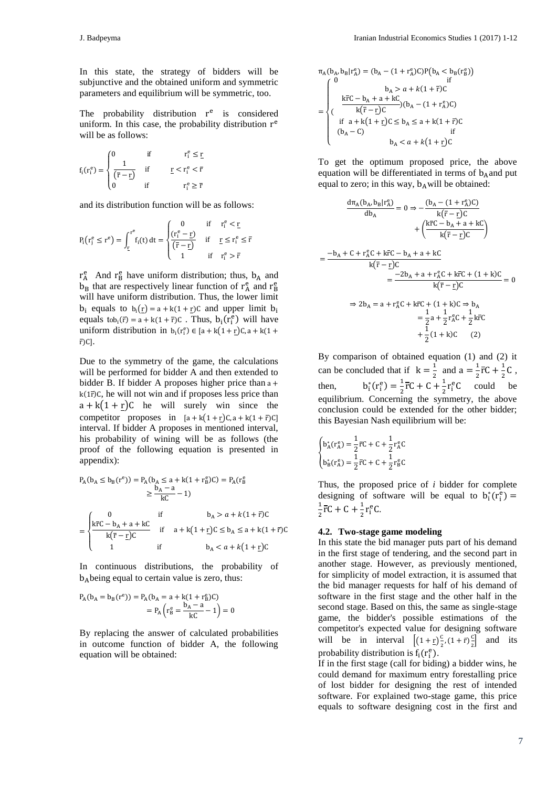In this state, the strategy of bidders will be subjunctive and the obtained uniform and symmetric parameters and equilibrium will be symmetric, too.

The probability distribution r<sup>e</sup> is considered uniform. In this case, the probability distribution  $r<sup>e</sup>$ will be as follows:

$$
f_i(r_i^e) = \begin{cases} 0 & \text{if} & r_i^e \leq \underline{r} \\ \displaystyle \frac{1}{\left(\overline{r} - \underline{r}\right)} & \text{if} & \underline{r} < r_i^e < \overline{r} \\ 0 & \text{if} & r_i^e \geq \overline{r} \end{cases}
$$

and its distribution function will be as follows:

$$
P_i\big(r_j^e \leq r^e\big) = \int_{\underline{r}}^{r^e} f_i(t) \, dt = \begin{cases} 0 & \text{if} \quad r_i^e < \underline{r} \\ \displaystyle \frac{(r_i^e - \underline{r})}{(\overline{r} - \underline{r})} & \text{if} \quad \underline{r} \leq r_i^e \leq \overline{r} \\ 1 & \text{if} \quad r_i^e > \overline{r} \end{cases}
$$

 $r_A^e$  And  $r_B^e$  have uniform distribution; thus,  $b_A$  and  $b_B$  that are respectively linear function of  $r_A^e$  and  $r_B^e$ will have uniform distribution. Thus, the lower limit  $b_i$  equals to  $b_i(\underline{r}) = a + k(1 + \underline{r})C$  and upper limit  $b_i$ equals  $\text{to}_{i}(\vec{r}) = a + k(1 + \vec{r})C$ . Thus,  $b_i(r_i^e)$  will have uniform distribution in  $b_i(r_i^e) \in [a + k(1 + r)C, a + k(1 + r)]$  $\overline{r}$ C].

Due to the symmetry of the game, the calculations will be performed for bidder A and then extended to bidder B. If bidder A proposes higher price than a + k(1r)C, he will not win and if proposes less price than  $a + k(1 + r)C$  he will surely win since the competitor proposes in  $[a + k(1 + r)C, a + k(1 + r)C]$ interval. If bidder A proposes in mentioned interval, his probability of wining will be as follows (the proof of the following equation is presented in appendix):

$$
P_{A}(b_{A} \le b_{B}(r^{e})) = P_{A}(b_{A} \le a + k(1 + r_{B}^{e})C) = P_{A}(r_{B}^{e})
$$
  
\n
$$
\ge \frac{b_{A} - a}{kC} - 1)
$$
  
\n
$$
= \begin{cases} 0 & \text{if } b_{A} > a + k(1 + \bar{r})C \\ \frac{k\bar{r}C - b_{A} + a + kC}{k(\bar{r} - \underline{r})C} & \text{if } a + k(1 + \underline{r})C \le b_{A} \le a + k(1 + \bar{r})C \\ 1 & \text{if } b_{A} < a + k(1 + \underline{r})C \end{cases}
$$

In continuous distributions, the probability of  $b_A$ being equal to certain value is zero, thus:

$$
P_A(b_A = b_B(r^e)) = P_A(b_A = a + k(1 + r_B^e)C)
$$
  
=  $P_A(r_B^e = \frac{b_A - a}{kC} - 1) = 0$ 

By replacing the answer of calculated probabilities in outcome function of bidder A, the following equation will be obtained:

$$
\pi_{A}(b_{A}, b_{B}|r_{A}^{e}) = (b_{A} - (1 + r_{A}^{e})C)P(b_{A} < b_{B}(r_{B}^{e}))
$$
\n
$$
= \begin{cases}\n0 & \text{if } \text{if } \\ \frac{k\overline{r}C - b_{A} + a + kC}{k(\overline{r} - \underline{r})C}(b_{A} - (1 + r_{A}^{e})C) \\
\vdots & \text{if } \\ \frac{k(\overline{r} - \underline{r})C}{k(\overline{r} - \underline{r})C} \leq b_{A} \leq a + k(1 + \overline{r})C \\
\vdots & \text{if } \\ (b_{A} - C) & \text{if } \\ b_{A} < a + k(1 + \underline{r})C\n\end{cases}
$$

To get the optimum proposed price, the above equation will be differentiated in terms of  $b_A$ and put equal to zero; in this way,  $b_A$  will be obtained:

$$
\frac{d\pi_A(b_A, b_B|r_A^o)}{db_A} = 0 \Rightarrow -\frac{(b_A - (1 + r_A^o)C)}{k(\bar{r} - \underline{r})C} \n+ \left(\frac{k\bar{r}C - b_A + a + kC}{k(\bar{r} - \underline{r})C}\right) \n= \frac{-b_A + C + r_A^oC + k\bar{r}C - b_A + a + kC}{k(\bar{r} - \underline{r})C} \n= \frac{-2b_A + a + r_A^oC + k\bar{r}C + (1 + k)C}{k(\bar{r} - \underline{r})C} = 0 \n\Rightarrow 2b_A = a + r_A^oC + k\bar{r}C + (1 + k)C \Rightarrow b_A \n= \frac{1}{2}a + \frac{1}{2}r_A^oC + \frac{1}{2}k\bar{r}C \n+ \frac{1}{2}(1 + k)C \qquad (2)
$$

By comparison of obtained equation (1) and (2) it can be concluded that if  $k = \frac{1}{2}$  $\frac{1}{2}$  and  $a = \frac{1}{2}$  $rac{1}{2}$  $\overline{r}C+\frac{1}{2}$  $\frac{1}{2}C$ , then,  $b_i^*(r_i^e) = \frac{1}{2}$  $\frac{1}{2}$   $\overline{r}C + C + \frac{1}{2}$  $\frac{1}{2}r_i^eC$  could be equilibrium. Concerning the symmetry, the above conclusion could be extended for the other bidder; this Bayesian Nash equilibrium will be:

$$
\begin{cases} b_A^*(r_A^e)=\frac{1}{2}\overline{r}C+C+\frac{1}{2}r_A^eC\\ b_B^*(r_A^e)=\frac{1}{2}\overline{r}C+C+\frac{1}{2}r_B^eC \end{cases}
$$

Thus, the proposed price of *i* bidder for complete designing of software will be equal to  $b_i^*(r_i^e)$  = 1  $\frac{1}{2}$   $\overline{r}C + C + \frac{1}{2}$  $\frac{1}{2}r_i^eC$ .

#### **4.2. Two-stage game modeling**

In this state the bid manager puts part of his demand in the first stage of tendering, and the second part in another stage. However, as previously mentioned, for simplicity of model extraction, it is assumed that the bid manager requests for half of his demand of software in the first stage and the other half in the second stage. Based on this, the same as single-stage game, the bidder's possible estimations of the competitor's expected value for designing software will be in interval  $\left[ (1 + r) \frac{c}{a} \right]$  $\frac{c}{2}$ ,  $(1 + \bar{r})\frac{c}{2}$  $\frac{c}{2}$  and its probability distribution is  $f_i(r_i^e)$ .

If in the first stage (call for biding) a bidder wins, he could demand for maximum entry forestalling price of lost bidder for designing the rest of intended software. For explained two-stage game, this price equals to software designing cost in the first and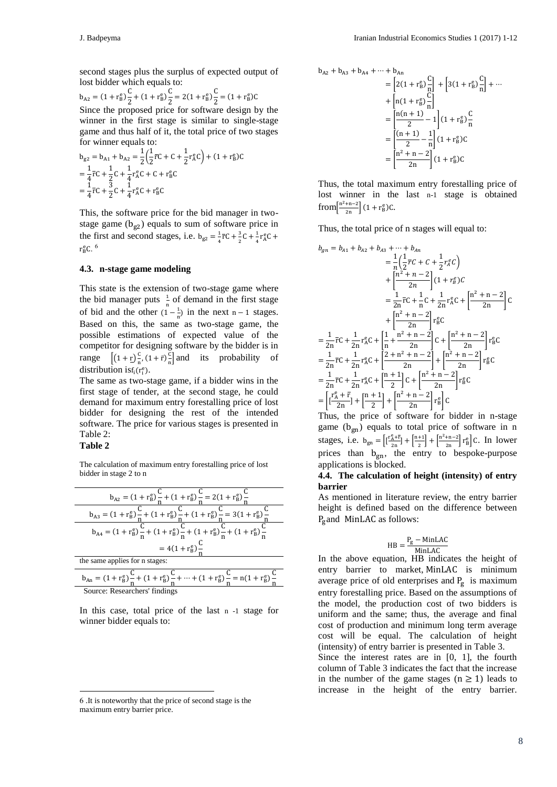second stages plus the surplus of expected output of lost bidder which equals to:

$$
b_{A2} = (1 + r_B^e) \frac{C}{2} + (1 + r_B^e) \frac{C}{2} = 2(1 + r_B^e) \frac{C}{2} = (1 + r_B^e)C
$$
  
Since the proposed price for software design by the

winner in the first stage is similar to single-stage game and thus half of it, the total price of two stages for winner equals to:

$$
b_{g2} = b_{A1} + b_{A2} = \frac{1}{2} \left( \frac{1}{2} \overline{r} C + C + \frac{1}{2} r_A^e C \right) + (1 + r_B^e) C
$$
  
=  $\frac{1}{4} \overline{r} C + \frac{1}{2} C + \frac{1}{4} r_A^e C + C + r_B^e C$   
=  $\frac{1}{4} \overline{r} C + \frac{3}{2} C + \frac{1}{4} r_A^e C + r_B^e C$ 

This, the software price for the bid manager in twostage game  $(b_{g2})$  equals to sum of software price in the first and second stages, i.e.  $b_{g2} = \frac{1}{4}$  $\frac{1}{4}rC + \frac{3}{2}$  $\frac{3}{2}C + \frac{1}{4}$  $\frac{1}{4}r_A^eC +$  $r_B^{\text{e}}$ C.  $^6$ 

#### **4.3. n-stage game modeling**

This state is the extension of two-stage game where the bid manager puts  $\frac{1}{n}$  of demand in the first stage of bid and the other  $(1 - \frac{1}{n})$  $\frac{1}{n}$ ) in the next n – 1 stages. Based on this, the same as two-stage game, the possible estimations of expected value of the competitor for designing software by the bidder is in range  $\left[ (1+r) \frac{c}{a} \right]$  $\frac{\mathrm{c}}{\mathrm{n}}$ ,  $(1+\bar{\mathrm{r}})\frac{\mathrm{c}}{\mathrm{n}}$  $\frac{c}{n}$  and its probability of distribution is  $f_i(r_i^e)$ .

The same as two-stage game, if a bidder wins in the first stage of tender, at the second stage, he could demand for maximum entry forestalling price of lost bidder for designing the rest of the intended software. The price for various stages is presented in Table 2:

#### **Table 2**

1

The calculation of maximum entry forestalling price of lost bidder in stage 2 to n

| $b_{A2} = (1 + r_B^e) \frac{C}{r} + (1 + r_B^e) \frac{C}{r} = 2(1 + r_B^e) \frac{C}{r}$                           |
|-------------------------------------------------------------------------------------------------------------------|
| $b_{A3} = (1 + r_B^e) \frac{C}{r} + (1 + r_B^e) \frac{C}{r} + (1 + r_B^e) \frac{C}{r} = 3(1 + r_B^e) \frac{C}{r}$ |
| $b_{A4} = (1 + r_B^e)\frac{C}{n} + (1 + r_B^e)\frac{C}{n} + (1 + r_B^e)\frac{C}{n} + (1 + r_B^e)\frac{C}{n}$      |
| $=4(1+r_{B}^{e})^{\frac{1}{2}}$                                                                                   |
| the same applies for n stages:                                                                                    |
| $b_{An} = (1 + r_B^e) - (1 + r_B^e) - (1 + r_B^e) - (1 + r_B^e) - (1 + r_B^e) - (1 + r_B^e)$                      |
| Source: Researchers' findings                                                                                     |

In this case, total price of the last n -1 stage for winner bidder equals to:

$$
b_{A2} + b_{A3} + b_{A4} + \dots + b_{An}
$$
  
=  $\left[ 2(1 + r_B^e) \frac{C}{n} \right] + \left[ 3(1 + r_B^e) \frac{C}{n} \right] + \dots$   
+  $\left[ n(1 + r_B^e) \frac{C}{n} \right]$   
=  $\left[ \frac{n(n+1)}{2} - 1 \right] (1 + r_B^e) \frac{C}{n}$   
=  $\left[ \frac{(n+1)}{2} - \frac{1}{n} \right] (1 + r_B^e) C$   
=  $\left[ \frac{n^2 + n - 2}{2n} \right] (1 + r_B^e) C$ 

Thus, the total maximum entry forestalling price of lost winner in the last n-1 stage is obtained  $from \frac{n^2+n-2}{2n}$  $\frac{(-1)^{n-2}}{2n}$  (1 + r<sup>e</sup><sub>B</sub>)C.

Thus, the total price of n stages will equal to:

$$
b_{gn} = b_{A1} + b_{A2} + b_{A3} + \dots + b_{An}
$$
  
\n
$$
= \frac{1}{n} \left( \frac{1}{2} \overline{r} C + C + \frac{1}{2} r_a^e C \right)
$$
  
\n
$$
+ \left[ \frac{n^2 + n - 2}{2n} \right] (1 + r_b^e) C
$$
  
\n
$$
= \frac{1}{2n} \overline{r} C + \frac{1}{n} C + \frac{1}{2n} r_b^e C + \left[ \frac{n^2 + n - 2}{2n} \right] C
$$
  
\n
$$
+ \left[ \frac{n^2 + n - 2}{2n} \right] r_b^e C
$$
  
\n
$$
= \frac{1}{2n} \overline{r} C + \frac{1}{2n} r_a^e C + \left[ \frac{1}{n} + \frac{n^2 + n - 2}{2n} \right] C + \left[ \frac{n^2 + n - 2}{2n} \right] r_b^e C
$$
  
\n
$$
= \frac{1}{2n} \overline{r} C + \frac{1}{2n} r_a^e C + \left[ \frac{2 + n^2 + n - 2}{2n} \right] + \left[ \frac{n^2 + n - 2}{2n} \right] r_b^e C
$$
  
\n
$$
= \frac{1}{2n} \overline{r} C + \frac{1}{2n} r_a^e C + \left[ \frac{n+1}{2} \right] C + \left[ \frac{n^2 + n - 2}{2n} \right] r_b^e C
$$
  
\n
$$
= \left[ \frac{r_a^e + \overline{r}}{2n} \right] + \left[ \frac{n^2 + n - 2}{2n} \right] r_b^e C
$$

Thus, the price of software for bidder in n-stage game  $(b_{gn})$  equals to total price of software in n stages, i.e.  $b_{gn} = \left[\frac{r_A^e + r_A^e}{r_A^2}\right]$  $\frac{\frac{a}{A}+\overline{r}}{2n}$ ] +  $\frac{\left[n+1\right]}{2}$  $\left[\frac{n^2+n-2}{2n}\right]$  $\frac{+n-2}{2n}$  r<sup>e</sup><sub>B</sub> C. In lower prices than b<sub>gn</sub>, the entry to bespoke-purpose applications is blocked.

#### **4.4. The calculation of height (intensity) of entry barrier**

As mentioned in literature review, the entry barrier height is defined based on the difference between Pgand MinLAC as follows:

$$
HB = \frac{P_g - MinLAC}{MinLAC}
$$

In the above equation, HB indicates the height of entry barrier to market, MinLAC is minimum average price of old enterprises and  $P_g$  is maximum entry forestalling price. Based on the assumptions of the model, the production cost of two bidders is uniform and the same; thus, the average and final cost of production and minimum long term average cost will be equal. The calculation of height (intensity) of entry barrier is presented in Table 3.

Since the interest rates are in [0, 1], the fourth column of Table 3 indicates the fact that the increase in the number of the game stages ( $n \geq 1$ ) leads to increase in the height of the entry barrier.

<sup>6</sup> .It is noteworthy that the price of second stage is the maximum entry barrier price.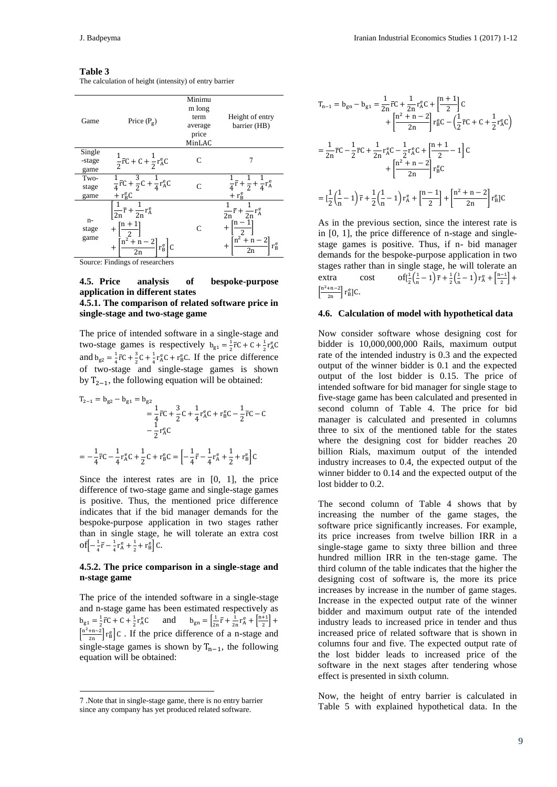#### **Table 3**

The calculation of height (intensity) of entry barrier

| Game                     | Price $(P_{\varphi})$                                                                                            | Minimu<br>m long<br>term<br>average<br>price<br>MinLAC | Height of entry<br>barrier (HB)                                |
|--------------------------|------------------------------------------------------------------------------------------------------------------|--------------------------------------------------------|----------------------------------------------------------------|
| Single<br>-stage<br>game | $\frac{1}{2} \overline{r}C + C + \frac{1}{2} r_A^e C$                                                            | C                                                      |                                                                |
| Two-<br>stage<br>game    | $rac{1}{4}$ rC + $rac{3}{2}$ C + $rac{1}{4}$ r <sub>A</sub> c<br>$+ r_B^eC$                                      | C                                                      | $\frac{1}{2} + \frac{1}{4}r_A^e$<br>$+ r_{\rm p}^{\rm e}$      |
| $n-$<br>stage<br>game    | $-\bar{r} + \frac{1}{2n}r_A^e$<br>2n<br>rn + 11<br>$^+$<br>$[n^2 + n - 2]$<br>$r_B^e$<br>$^+$<br>$\overline{2n}$ | C                                                      | $r_A^e$<br>$\overline{2n}$<br>$\,{}^+$<br>$\frac{n^2+n-2}{2n}$ |

Source: Findings of researchers

#### **4.5. Price analysis of bespoke-purpose application in different states 4.5.1. The comparison of related software price in single-stage and two-stage game**

The price of intended software in a single-stage and two-stage games is respectively  $b_{g1} = \frac{1}{2}$  $\frac{1}{2}$  rC + C +  $\frac{1}{2}$  $rac{1}{2}r_A^eC$ and  $b_{g2} = \frac{1}{4}$  $\frac{1}{4} \overline{r}C + \frac{3}{2}$  $\frac{3}{2}C + \frac{1}{4}$  $\frac{1}{4}$  r<sub>A</sub><sup>e</sup>C + r<sub>B</sub><sup>e</sup>C. If the price difference of two-stage and single-stage games is shown by  $T_{2-1}$ , the following equation will be obtained:

$$
T_{2-1} = b_{g2} - b_{g1} = b_{g2}
$$
  
=  $\frac{1}{4}\bar{r}C + \frac{3}{2}C + \frac{1}{4}r_A^eC + r_B^eC - \frac{1}{2}\bar{r}C - C$   
 $- \frac{1}{2}r_A^eC$   
=  $-\frac{1}{4}\bar{r}C - \frac{1}{4}r_A^eC + \frac{1}{2}C + r_B^eC = \left[-\frac{1}{4}\bar{r} - \frac{1}{4}r_A^e + \frac{1}{2} + r_B^e\right]C$ 

Since the interest rates are in [0, 1], the price difference of two-stage game and single-stage games is positive. Thus, the mentioned price difference indicates that if the bid manager demands for the bespoke-purpose application in two stages rather than in single stage, he will tolerate an extra cost of $\left[-\frac{1}{2}\right]$  $\frac{1}{4}r - \frac{1}{4}$  $\frac{1}{4}r_A^e + \frac{1}{2}$  $\frac{1}{2} + r_B^e$  C.

#### **4.5.2. The price comparison in a single-stage and n-stage game**

The price of the intended software in a single-stage and n-stage game has been estimated respectively as  $b_{g1} = \frac{1}{2}$  $\frac{1}{2}$  rC + C +  $\frac{1}{2}$  $\frac{1}{2}r_A^eC$  and  $b_{gn} = \left[\frac{1}{2}r_A^e\right]$  $rac{1}{2n}$   $\bar{r} + \frac{1}{2n}$  $\frac{1}{2n}$ r<sup>e</sup><sub>A</sub> +  $\frac{n+1}{2}$  $\frac{1}{2}$  +  $\int_{0}^{\frac{n^2+n-2}{n}}$  $\left[\frac{2n-2}{2n}\right]$  r<sup>e</sup><sub>B</sub> C. If the price difference of a n-stage and single-stage games is shown by  $T_{n-1}$ , the following equation will be obtained:

1

$$
T_{n-1} = b_{gn} - b_{g1} = \frac{1}{2n} \overline{r}C + \frac{1}{2n} r_A^e C + \left[\frac{n+1}{2}\right] C
$$
  
+ 
$$
\left[\frac{n^2 + n - 2}{2n}\right] r_B^e C - \left(\frac{1}{2} \overline{r}C + C + \frac{1}{2} r_A^e C\right)
$$
  
= 
$$
\frac{1}{2n} \overline{r}C - \frac{1}{2} \overline{r}C + \frac{1}{2n} r_A^e C - \frac{1}{2} r_A^e C + \left[\frac{n+1}{2} - 1\right] C
$$
  
+ 
$$
\left[\frac{n^2 + n - 2}{2n}\right] r_B^e C
$$
  
= 
$$
[\frac{1}{2} (\frac{1}{n} - 1) \overline{r} + \frac{1}{2} (\frac{1}{n} - 1) r_A^e + \left[\frac{n-1}{2}\right] + \left[\frac{n^2 + n - 2}{2n}\right] r_B^e] C
$$

As in the previous section, since the interest rate is in [0, 1], the price difference of n-stage and singlestage games is positive. Thus, if n- bid manager demands for the bespoke-purpose application in two stages rather than in single stage, he will tolerate an extra cost of  $\left[\frac{1}{2}\right]$  $\frac{1}{2}$  $\left(\frac{1}{n}\right)$  $(\frac{1}{n}-1)\bar{r} + \frac{1}{2}$  $rac{1}{2}$  $\left(\frac{1}{n}\right)$  $\left(\frac{1}{n} - 1\right)$   $r_A^e + \left(\frac{n-1}{2}\right)$  $\frac{-1}{2}$  +  $\left[\frac{n^2+n-2}{2n}\right]$  $\frac{+n-2}{2n}$  r<sup>e</sup><sub>B</sub>]C.

#### **4.6. Calculation of model with hypothetical data**

Now consider software whose designing cost for bidder is 10,000,000,000 Rails, maximum output rate of the intended industry is 0.3 and the expected output of the winner bidder is 0.1 and the expected output of the lost bidder is 0.15. The price of intended software for bid manager for single stage to five-stage game has been calculated and presented in second column of Table 4. The price for bid manager is calculated and presented in columns three to six of the mentioned table for the states where the designing cost for bidder reaches 20 billion Rials, maximum output of the intended industry increases to 0.4, the expected output of the winner bidder to 0.14 and the expected output of the lost bidder to 0.2.

The second column of Table 4 shows that by increasing the number of the game stages, the software price significantly increases. For example, its price increases from twelve billion IRR in a single-stage game to sixty three billion and three hundred million IRR in the ten-stage game. The third column of the table indicates that the higher the designing cost of software is, the more its price increases by increase in the number of game stages. Increase in the expected output rate of the winner bidder and maximum output rate of the intended industry leads to increased price in tender and thus increased price of related software that is shown in columns four and five. The expected output rate of the lost bidder leads to increased price of the software in the next stages after tendering whose effect is presented in sixth column.

Now, the height of entry barrier is calculated in Table 5 with explained hypothetical data. In the

<sup>7</sup> .Note that in single-stage game, there is no entry barrier since any company has yet produced related software.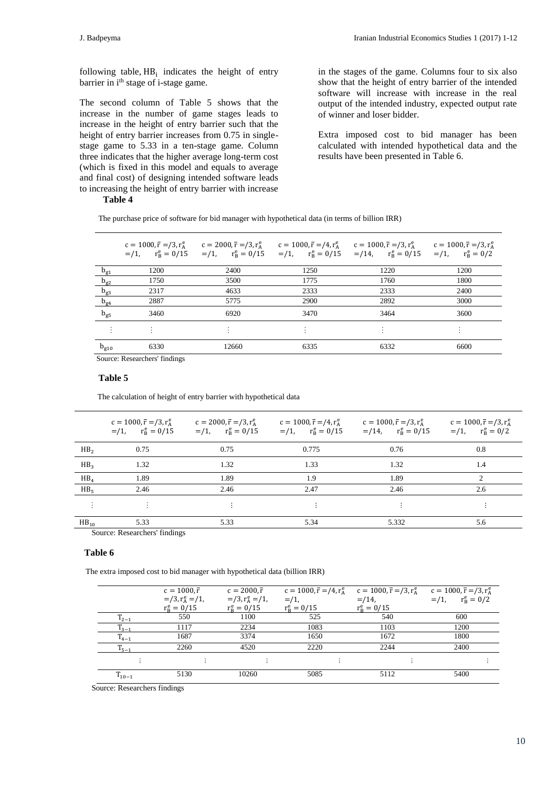following table,  $HB_i$  indicates the height of entry barrier in i<sup>th</sup> stage of i-stage game.

The second column of Table 5 shows that the increase in the number of game stages leads to increase in the height of entry barrier such that the height of entry barrier increases from 0.75 in singlestage game to 5.33 in a ten-stage game. Column three indicates that the higher average long-term cost (which is fixed in this model and equals to average and final cost) of designing intended software leads to increasing the height of entry barrier with increase  **Table 4**

#### in the stages of the game. Columns four to six also show that the height of entry barrier of the intended software will increase with increase in the real output of the intended industry, expected output rate of winner and loser bidder.

Extra imposed cost to bid manager has been calculated with intended hypothetical data and the results have been presented in Table 6.

|  |  | The purchase price of software for bid manager with hypothetical data (in terms of billion IRR) |  |  |  |  |  |
|--|--|-------------------------------------------------------------------------------------------------|--|--|--|--|--|
|  |  |                                                                                                 |  |  |  |  |  |

|                         |      |       |      | $c = 1000, \overline{r} = 73, r_a^e$ $c = 2000, \overline{r} = 73, r_a^e$ $c = 1000, \overline{r} = 74, r_a^e$ $c = 1000, \overline{r} = 73, r_a^e$ $c = 1000, \overline{r} = 73, r_a^e$<br>$r_R^e = 0/15$ $r_R^e = 0/15$ $r_R^e = 0/15$ $r_R^e = 0/15$ $r_R^e = 0/15$ $r_R^e = 0/15$ $r_R^e = 0/2$ |      |
|-------------------------|------|-------|------|-----------------------------------------------------------------------------------------------------------------------------------------------------------------------------------------------------------------------------------------------------------------------------------------------------|------|
|                         | 1200 | 2400  | 1250 | 1220                                                                                                                                                                                                                                                                                                | 1200 |
| $\frac{b_{g1}}{b_{g2}}$ | 1750 | 3500  | 1775 | 1760                                                                                                                                                                                                                                                                                                | 1800 |
|                         | 2317 | 4633  | 2333 | 2333                                                                                                                                                                                                                                                                                                | 2400 |
| $b_{g4}$                | 2887 | 5775  | 2900 | 2892                                                                                                                                                                                                                                                                                                | 3000 |
| $\rm b_{g5}$            | 3460 | 6920  | 3470 | 3464                                                                                                                                                                                                                                                                                                | 3600 |
|                         |      |       |      |                                                                                                                                                                                                                                                                                                     |      |
| $b_{g10}$               | 6330 | 12660 | 6335 | 6332                                                                                                                                                                                                                                                                                                | 6600 |

Source: Researchers' findings

#### **Table 5**

The calculation of height of entry barrier with hypothetical data

|                 | $c = 1000, \overline{r} = 3, r_A^e$<br>$=$ /1, $r_R^e = 0/15$ | $c = 2000, \overline{r} = 3, r_A^e$<br>$=$ /1, $r_R^e = 0/15$ | $c = 1000, \overline{r} = 4, r_A^e$<br>$=$ /1, $r_R^e = 0/15$ | $c = 1000, \bar{r} = 73, r_{\Delta}^{e}$<br>$r_{\rm B}^{\rm e} = 0/15$ | $c = 1000, \overline{r} = 3, r_A^e$<br>$=$ /1, $r_R^e = 0/2$ |
|-----------------|---------------------------------------------------------------|---------------------------------------------------------------|---------------------------------------------------------------|------------------------------------------------------------------------|--------------------------------------------------------------|
| HB <sub>2</sub> | 0.75                                                          | 0.75                                                          | 0.775                                                         | 0.76                                                                   | 0.8                                                          |
| HB <sub>3</sub> | 1.32                                                          | 1.32                                                          | 1.33                                                          | 1.32                                                                   | 1.4                                                          |
| HB <sub>4</sub> | 1.89                                                          | 1.89                                                          | 1.9                                                           | 1.89                                                                   | $\mathcal{D}_{\mathcal{L}}$                                  |
| HB <sub>5</sub> | 2.46                                                          | 2.46                                                          | 2.47                                                          | 2.46                                                                   | 2.6                                                          |
|                 |                                                               |                                                               |                                                               |                                                                        |                                                              |
| $HB_{10}$       | 5.33                                                          | 5.33                                                          | 5.34                                                          | 5.332                                                                  | 5.6                                                          |

Source: Researchers' findings

#### **Table 6**

The extra imposed cost to bid manager with hypothetical data (billion IRR)

|            | $c = 1000$ , r<br>$\frac{1}{2}$ , r <sub>A</sub> $=$ /1, | $c = 2000$ , r<br>$=$ /3, r <sup>e</sup> <sub>A</sub> $=$ /1, | $c = 1000, \bar{r} = 4, r_{A}^{e}$<br>$=$ /1. | $c = 1000, \bar{r} = 3, r_{A}^{e}$<br>$=$ /14. | $c = 1000, \overline{r} = 73, r_A^e$<br>$r_{\rm B}^{\rm e} = 0/2$<br>$=$ /1. |
|------------|----------------------------------------------------------|---------------------------------------------------------------|-----------------------------------------------|------------------------------------------------|------------------------------------------------------------------------------|
|            | $r_{\rm B}^{\rm e} = 0/15$                               | $r_{\rm B}^{\rm e} = 0/15$                                    | $r_{\rm B}^{\rm e} = 0/15$                    | $r_{\rm B}^{\rm e} = 0/15$                     |                                                                              |
| $T_{2-1}$  | 550                                                      | 1100                                                          | 525                                           | 540                                            | 600                                                                          |
| $T_{3-1}$  | 1117                                                     | 2234                                                          | 1083                                          | 1103                                           | 1200                                                                         |
| $14 - 1$   | 1687                                                     | 3374                                                          | 1650                                          | 1672                                           | 1800                                                                         |
| $T_{5-1}$  | 2260                                                     | 4520                                                          | 2220                                          | 2244                                           | 2400                                                                         |
|            |                                                          |                                                               |                                               |                                                |                                                                              |
| $T_{10-1}$ | 5130                                                     | 10260                                                         | 5085                                          | 5112                                           | 5400                                                                         |

Source: Researchers findings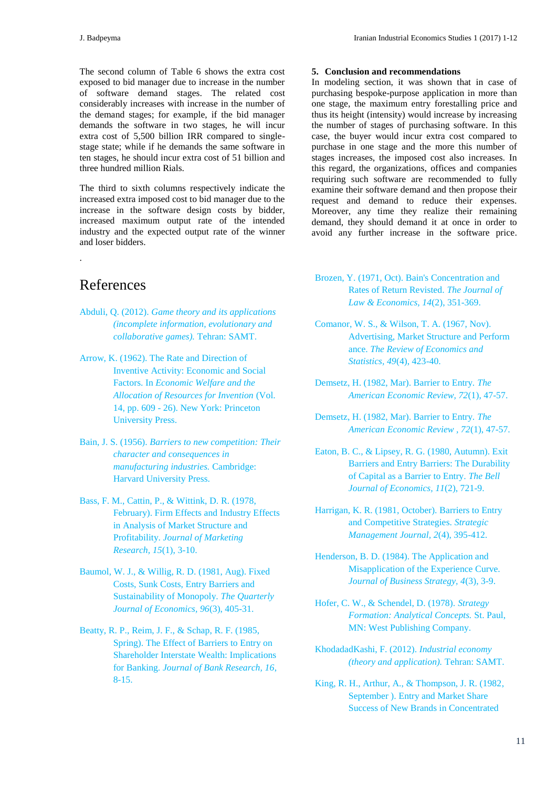J. Badpeyma Iranian Industrial Economics Studies 1 (2017) 1-12

The second column of Table 6 shows the extra cost exposed to bid manager due to increase in the number of software demand stages. The related cost considerably increases with increase in the number of the demand stages; for example, if the bid manager demands the software in two stages, he will incur extra cost of 5,500 billion IRR compared to singlestage state; while if he demands the same software in ten stages, he should incur extra cost of 51 billion and three hundred million Rials.

The third to sixth columns respectively indicate the increased extra imposed cost to bid manager due to the increase in the software design costs by bidder, increased maximum output rate of the intended industry and the expected output rate of the winner and loser bidders.

## References

.

- Abduli, Q. (2012). *Game theory and its applications (incomplete information, evolutionary and collaborative games).* Tehran: SAMT.
- Arrow, K. (1962). The Rate and Direction of Inventive Activity: Economic and Social Factors. In *Economic Welfare and the Allocation of Resources for Invention* (Vol. 14, pp. 609 - 26). New York: Princeton University Press.
- Bain, J. S. (1956). *Barriers to new competition: Their character and consequences in manufacturing industries.* Cambridge: Harvard University Press.
- Bass, F. M., Cattin, P., & Wittink, D. R. (1978, February). Firm Effects and Industry Effects in Analysis of Market Structure and Profitability. *Journal of Marketing Research, 15*(1), 3-10.
- Baumol, W. J., & Willig, R. D. (1981, Aug). Fixed Costs, Sunk Costs, Entry Barriers and Sustainability of Monopoly. *The Quarterly Journal of Economics, 96*(3), 405-31.
- Beatty, R. P., Reim, J. F., & Schap, R. F. (1985, Spring). The Effect of Barriers to Entry on Shareholder Interstate Wealth: Implications for Banking. *Journal of Bank Research, 16*, 8-15.

#### **5. Conclusion and recommendations**

In modeling section, it was shown that in case of purchasing bespoke-purpose application in more than one stage, the maximum entry forestalling price and thus its height (intensity) would increase by increasing the number of stages of purchasing software. In this case, the buyer would incur extra cost compared to purchase in one stage and the more this number of stages increases, the imposed cost also increases. In this regard, the organizations, offices and companies requiring such software are recommended to fully examine their software demand and then propose their request and demand to reduce their expenses. Moreover, any time they realize their remaining demand, they should demand it at once in order to avoid any further increase in the software price.

- Brozen, Y. (1971, Oct). Bain's Concentration and Rates of Return Revisted. *The Journal of Law & Economics, 14*(2), 351-369.
- Comanor, W. S., & Wilson, T. A. (1967, Nov). Advertising, Market Structure and Perform ance. *The Review of Economics and Statistics, 49*(4), 423-40.
- Demsetz, H. (1982, Mar). Barrier to Entry. *The American Economic Review, 72*(1), 47-57.
- Demsetz, H. (1982, Mar). Barrier to Entry. *The American Economic Review , 72*(1), 47-57.
- Eaton, B. C., & Lipsey, R. G. (1980, Autumn). Exit Barriers and Entry Barriers: The Durability of Capital as a Barrier to Entry. *The Bell Journal of Economics, 11*(2), 721-9.
- Harrigan, K. R. (1981, October). Barriers to Entry and Competitive Strategies. *Strategic Management Journal, 2*(4), 395-412.
- Henderson, B. D. (1984). The Application and Misapplication of the Experience Curve. *Journal of Business Strategy, 4*(3), 3-9.
- Hofer, C. W., & Schendel, D. (1978). *Strategy Formation: Analytical Concepts.* St. Paul, MN: West Publishing Company.
- KhodadadKashi, F. (2012). *Industrial economy (theory and application).* Tehran: SAMT.
- King, R. H., Arthur, A., & Thompson, J. R. (1982, September ). Entry and Market Share Success of New Brands in Concentrated